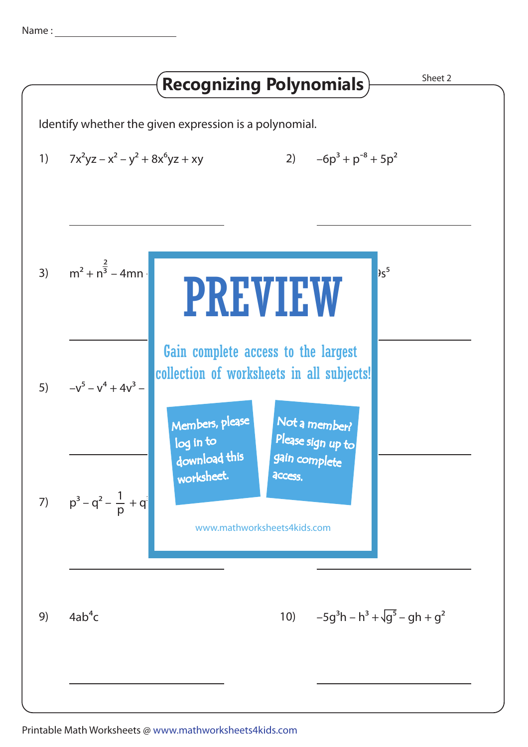